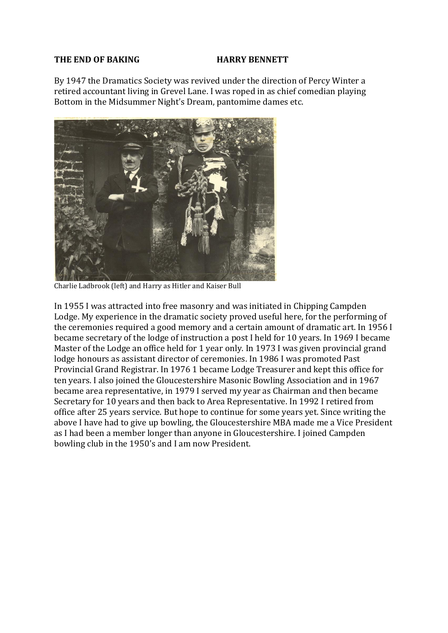## **THE END OF BAKING HARRY BENNETT**

By 1947 the Dramatics Society was revived under the direction of Percy Winter a retired accountant living in Grevel Lane. I was roped in as chief comedian playing Bottom in the Midsummer Night's Dream, pantomime dames etc.



Charlie Ladbrook (left) and Harry as Hitler and Kaiser Bull

In 1955 I was attracted into free masonry and was initiated in Chipping Campden Lodge. My experience in the dramatic society proved useful here, for the performing of the ceremonies required a good memory and a certain amount of dramatic art. In 1956 I became secretary of the lodge of instruction a post I held for 10 years. In 1969 I became Master of the Lodge an office held for 1 year only. In 1973 I was given provincial grand lodge honours as assistant director of ceremonies. In 1986 I was promoted Past Provincial Grand Registrar. In 1976 1 became Lodge Treasurer and kept this office for ten years. I also joined the Gloucestershire Masonic Bowling Association and in 1967 became area representative, in 1979 I served my year as Chairman and then became Secretary for 10 years and then back to Area Representative. In 1992 I retired from office after 25 years service. But hope to continue for some years yet. Since writing the above I have had to give up bowling, the Gloucestershire MBA made me a Vice President as I had been a member longer than anyone in Gloucestershire. I joined Campden bowling club in the 1950's and I am now President.